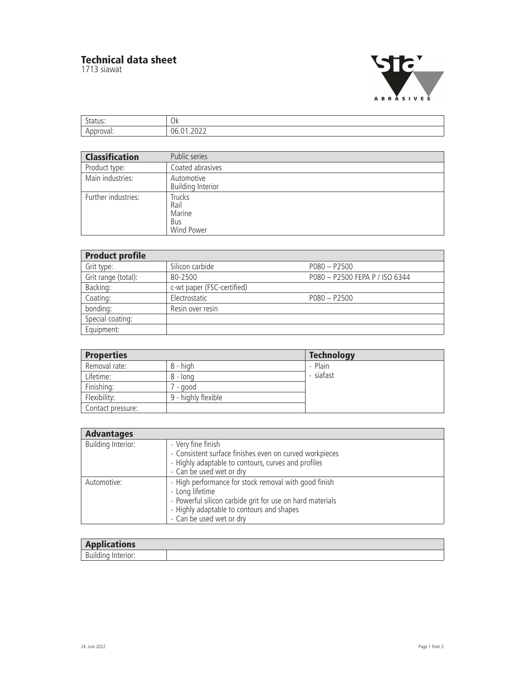## **Technical data sheet**

1713 siawat



| ∽            | $\cap$ |
|--------------|--------|
| . <i>. .</i> | UN     |
|              | 1h     |

| <b>Classification</b> | Public series                                               |
|-----------------------|-------------------------------------------------------------|
| Product type:         | Coated abrasives                                            |
| Main industries:      | Automotive<br><b>Building Interior</b>                      |
| Further industries:   | <b>Trucks</b><br>Rail<br>Marine<br><b>Bus</b><br>Wind Power |

| <b>Product profile</b> |                            |                                |
|------------------------|----------------------------|--------------------------------|
| Grit type:             | Silicon carbide            | $P(080 - P2500)$               |
| Grit range (total):    | 80-2500                    | P080 - P2500 FEPA P / ISO 6344 |
| Backing:               | c-wt paper (FSC-certified) |                                |
| Coating:               | Electrostatic              | $P080 - P2500$                 |
| bonding:               | Resin over resin           |                                |
| Special coating:       |                            |                                |
| Equipment:             |                            |                                |

| <b>Properties</b> |                     | <b>Technology</b> |
|-------------------|---------------------|-------------------|
| Removal rate:     | 8 - high            | - Plain           |
| Lifetime:         | 8 - long            | - siafast         |
| Finishing:        | - good              |                   |
| Flexibility:      | 9 - highly flexible |                   |
| Contact pressure: |                     |                   |

| <b>Advantages</b>         |                                                                                                                                                                                                                |
|---------------------------|----------------------------------------------------------------------------------------------------------------------------------------------------------------------------------------------------------------|
| <b>Building Interior:</b> | - Very fine finish<br>- Consistent surface finishes even on curved workpieces<br>- Highly adaptable to contours, curves and profiles<br>- Can be used wet or dry                                               |
| Automotive:               | - High performance for stock removal with good finish<br>- Long lifetime<br>- Powerful silicon carbide grit for use on hard materials<br>- Highly adaptable to contours and shapes<br>- Can be used wet or dry |

| $\blacksquare$<br>. п<br><b>B. IA A</b><br><b>Service State</b><br><b>Applications</b> |  |
|----------------------------------------------------------------------------------------|--|
| $\mathsf{D}$<br>-- -<br>------<br>----<br>DU'                                          |  |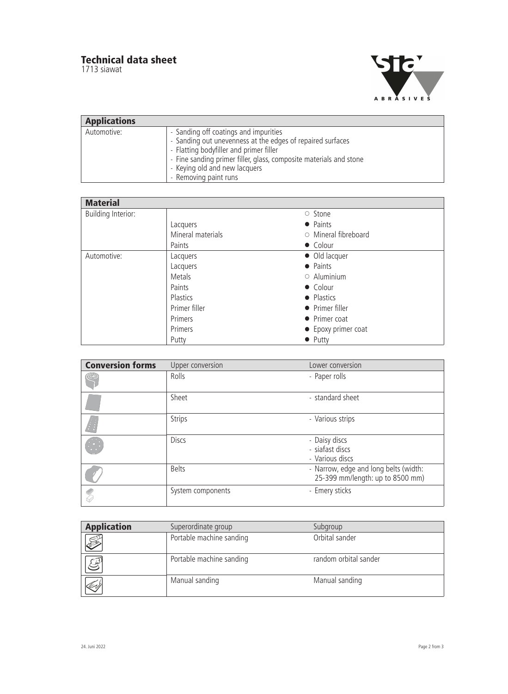## **Technical data sheet**

1713 siawat



| <b>Applications</b> |                                                                                                                                                                                                                                                                                |
|---------------------|--------------------------------------------------------------------------------------------------------------------------------------------------------------------------------------------------------------------------------------------------------------------------------|
| Automotive:         | - Sanding off coatings and impurities<br>- Sanding out unevenness at the edges of repaired surfaces<br>- Flatting bodyfiller and primer filler<br>- Fine sanding primer filler, glass, composite materials and stone<br>- Keying old and new lacquers<br>- Removing paint runs |

| <b>Material</b>           |                   |                            |  |
|---------------------------|-------------------|----------------------------|--|
| <b>Building Interior:</b> |                   | ○ Stone                    |  |
|                           | Lacquers          | • Paints                   |  |
|                           | Mineral materials | $\circ$ Mineral fibreboard |  |
|                           | Paints            | • Colour                   |  |
| Automotive:               | Lacquers          | • Old lacquer              |  |
|                           | Lacquers          | • Paints                   |  |
|                           | <b>Metals</b>     | $\circ$ Aluminium          |  |
|                           | Paints            | • Colour                   |  |
|                           | Plastics          | • Plastics                 |  |
|                           | Primer filler     | • Primer filler            |  |
|                           | Primers           | • Primer coat              |  |
|                           | Primers           | • Epoxy primer coat        |  |
|                           | Putty             | $\bullet$ Putty            |  |

| <b>Conversion forms</b> | Upper conversion  | Lower conversion                                                          |
|-------------------------|-------------------|---------------------------------------------------------------------------|
| $^\copyright$           | Rolls             | - Paper rolls                                                             |
|                         | Sheet             | - standard sheet                                                          |
|                         | <b>Strips</b>     | - Various strips                                                          |
|                         | <b>Discs</b>      | - Daisy discs<br>- siafast discs<br>- Various discs                       |
|                         | <b>Belts</b>      | - Narrow, edge and long belts (width:<br>25-399 mm/length: up to 8500 mm) |
|                         | System components | - Emery sticks                                                            |

| <b>Application</b> | Superordinate group      | Subgroup              |
|--------------------|--------------------------|-----------------------|
| S                  | Portable machine sanding | Orbital sander        |
| $\mathbb{S}$       | Portable machine sanding | random orbital sander |
|                    | Manual sanding           | Manual sanding        |